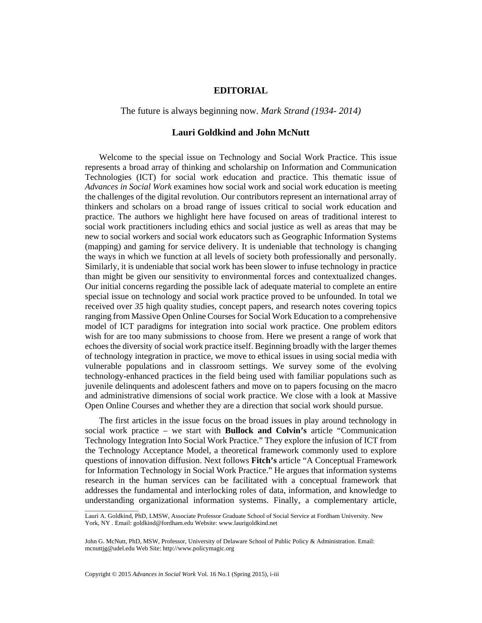## **EDITORIAL**

The future is always beginning now. *Mark Strand (1934- 2014)*

## **Lauri Goldkind and John McNutt**

Welcome to the special issue on Technology and Social Work Practice. This issue represents a broad array of thinking and scholarship on Information and Communication Technologies (ICT) for social work education and practice. This thematic issue of *Advances in Social Work* examines how social work and social work education is meeting the challenges of the digital revolution. Our contributors represent an international array of thinkers and scholars on a broad range of issues critical to social work education and practice. The authors we highlight here have focused on areas of traditional interest to social work practitioners including ethics and social justice as well as areas that may be new to social workers and social work educators such as Geographic Information Systems (mapping) and gaming for service delivery. It is undeniable that technology is changing the ways in which we function at all levels of society both professionally and personally. Similarly, it is undeniable that social work has been slower to infuse technology in practice than might be given our sensitivity to environmental forces and contextualized changes. Our initial concerns regarding the possible lack of adequate material to complete an entire special issue on technology and social work practice proved to be unfounded. In total we received over *35* high quality studies, concept papers, and research notes covering topics ranging from Massive Open Online Courses for Social Work Education to a comprehensive model of ICT paradigms for integration into social work practice. One problem editors wish for are too many submissions to choose from. Here we present a range of work that echoes the diversity of social work practice itself. Beginning broadly with the larger themes of technology integration in practice, we move to ethical issues in using social media with vulnerable populations and in classroom settings. We survey some of the evolving technology-enhanced practices in the field being used with familiar populations such as juvenile delinquents and adolescent fathers and move on to papers focusing on the macro and administrative dimensions of social work practice. We close with a look at Massive Open Online Courses and whether they are a direction that social work should pursue.

The first articles in the issue focus on the broad issues in play around technology in social work practice – we start with **Bullock and Colvin's** article "Communication Technology Integration Into Social Work Practice." They explore the infusion of ICT from the Technology Acceptance Model, a theoretical framework commonly used to explore questions of innovation diffusion. Next follows **Fitch's** article "A Conceptual Framework for Information Technology in Social Work Practice." He argues that information systems research in the human services can be facilitated with a conceptual framework that addresses the fundamental and interlocking roles of data, information, and knowledge to understanding organizational information systems. Finally, a complementary article,

Copyright © 2015 *Advances in Social Work* Vol. 16 No.1 (Spring 2015), i-iii

\_\_\_\_\_\_\_\_\_\_\_\_\_\_\_\_\_

Lauri A. Goldkind, PhD, LMSW, Associate Professor Graduate School of Social Service at Fordham University. New York, NY . Email: goldkind@fordham.edu Website: www.laurigoldkind.net

John G. McNutt, PhD, MSW, Professor, University of Delaware School of Public Policy & Administration. Email: mcnuttjg@udel.edu Web Site: http://www.policymagic.org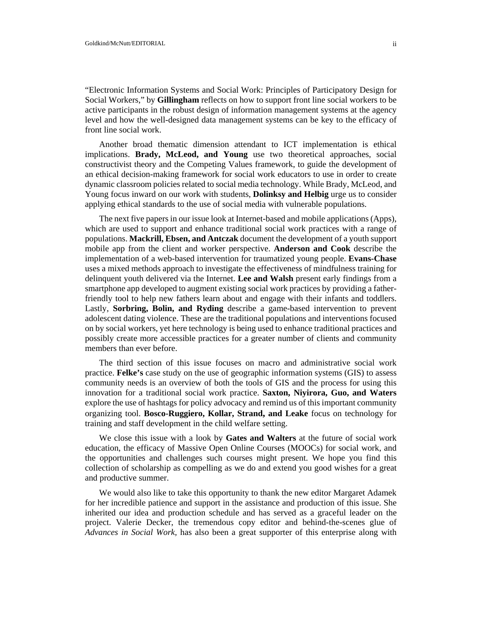"Electronic Information Systems and Social Work: Principles of Participatory Design for Social Workers," by **Gillingham** reflects on how to support front line social workers to be active participants in the robust design of information management systems at the agency level and how the well-designed data management systems can be key to the efficacy of front line social work.

Another broad thematic dimension attendant to ICT implementation is ethical implications. **Brady, McLeod, and Young** use two theoretical approaches, social constructivist theory and the Competing Values framework, to guide the development of an ethical decision-making framework for social work educators to use in order to create dynamic classroom policies related to social media technology. While Brady, McLeod, and Young focus inward on our work with students, **Dolinksy and Helbig** urge us to consider applying ethical standards to the use of social media with vulnerable populations.

The next five papers in our issue look at Internet-based and mobile applications (Apps), which are used to support and enhance traditional social work practices with a range of populations. **Mackrill, Ebsen, and Antczak** document the development of a youth support mobile app from the client and worker perspective. **Anderson and Cook** describe the implementation of a web-based intervention for traumatized young people. **Evans-Chase**  uses a mixed methods approach to investigate the effectiveness of mindfulness training for delinquent youth delivered via the Internet. **Lee and Walsh** present early findings from a smartphone app developed to augment existing social work practices by providing a fatherfriendly tool to help new fathers learn about and engage with their infants and toddlers. Lastly, **Sorbring, Bolin, and Ryding** describe a game-based intervention to prevent adolescent dating violence. These are the traditional populations and interventions focused on by social workers, yet here technology is being used to enhance traditional practices and possibly create more accessible practices for a greater number of clients and community members than ever before.

The third section of this issue focuses on macro and administrative social work practice. **Felke's** case study on the use of geographic information systems (GIS) to assess community needs is an overview of both the tools of GIS and the process for using this innovation for a traditional social work practice. **Saxton, Niyirora, Guo, and Waters** explore the use of hashtags for policy advocacy and remind us of this important community organizing tool. **Bosco-Ruggiero, Kollar, Strand, and Leake** focus on technology for training and staff development in the child welfare setting.

We close this issue with a look by **Gates and Walters** at the future of social work education, the efficacy of Massive Open Online Courses (MOOCs) for social work, and the opportunities and challenges such courses might present. We hope you find this collection of scholarship as compelling as we do and extend you good wishes for a great and productive summer.

We would also like to take this opportunity to thank the new editor Margaret Adamek for her incredible patience and support in the assistance and production of this issue. She inherited our idea and production schedule and has served as a graceful leader on the project. Valerie Decker, the tremendous copy editor and behind-the-scenes glue of *Advances in Social Work,* has also been a great supporter of this enterprise along with